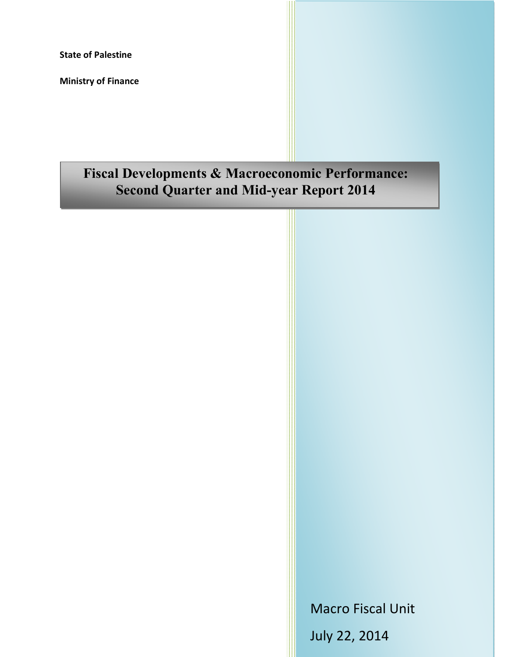**State of Palestine**

**Ministry of Finance**

# **Fiscal Developments & Macroeconomic Performance: Second Quarter and Mid-year Report 2014**

Macro Fiscal Unit July 22, 2014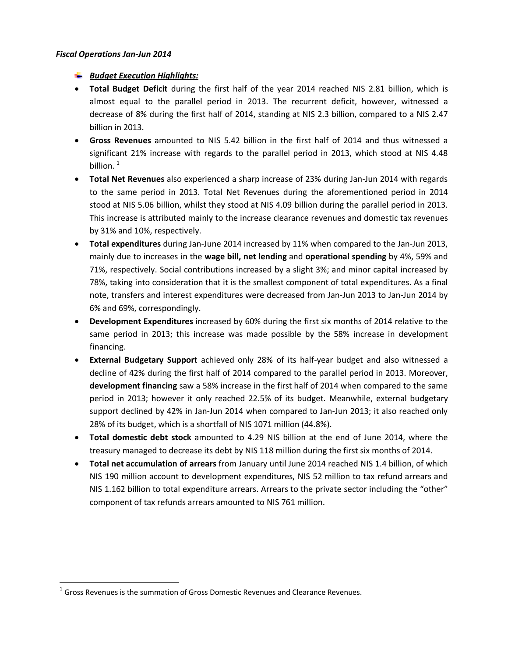#### *Fiscal Operations Jan-Jun 2014*

## *Budget Execution Highlights:*

- · **Total Budget Deficit** during the first half of the year 2014 reached NIS 2.81 billion, which is almost equal to the parallel period in 2013. The recurrent deficit, however, witnessed a decrease of 8% during the first half of 2014, standing at NIS 2.3 billion, compared to a NIS 2.47 billion in 2013.
- · **Gross Revenues** amounted to NIS 5.42 billion in the first half of 2014 and thus witnessed a significant 21% increase with regards to the parallel period in 2013, which stood at NIS 4.48 billion. $1$
- · **Total Net Revenues** also experienced a sharp increase of 23% during Jan-Jun 2014 with regards to the same period in 2013. Total Net Revenues during the aforementioned period in 2014 stood at NIS 5.06 billion, whilst they stood at NIS 4.09 billion during the parallel period in 2013. This increase is attributed mainly to the increase clearance revenues and domestic tax revenues by 31% and 10%, respectively.
- · **Total expenditures** during Jan-June 2014 increased by 11% when compared to the Jan-Jun 2013, mainly due to increases in the **wage bill, net lending** and **operational spending** by 4%, 59% and 71%, respectively. Social contributions increased by a slight 3%; and minor capital increased by 78%, taking into consideration that it is the smallest component of total expenditures. As a final note, transfers and interest expenditures were decreased from Jan-Jun 2013 to Jan-Jun 2014 by 6% and 69%, correspondingly.
- · **Development Expenditures** increased by 60% during the first six months of 2014 relative to the same period in 2013; this increase was made possible by the 58% increase in development financing.
- · **External Budgetary Support** achieved only 28% of its half-year budget and also witnessed a decline of 42% during the first half of 2014 compared to the parallel period in 2013. Moreover, **development financing** saw a 58% increase in the first half of 2014 when compared to the same period in 2013; however it only reached 22.5% of its budget. Meanwhile, external budgetary support declined by 42% in Jan-Jun 2014 when compared to Jan-Jun 2013; it also reached only 28% of its budget, which is a shortfall of NIS 1071 million (44.8%).
- · **Total domestic debt stock** amounted to 4.29 NIS billion at the end of June 2014, where the treasury managed to decrease its debt by NIS 118 million during the first six months of 2014.
- · **Total net accumulation of arrears** from January until June 2014 reached NIS 1.4 billion, of which NIS 190 million account to development expenditures, NIS 52 million to tax refund arrears and NIS 1.162 billion to total expenditure arrears. Arrears to the private sector including the "other" component of tax refunds arrears amounted to NIS 761 million.

 $1$  Gross Revenues is the summation of Gross Domestic Revenues and Clearance Revenues.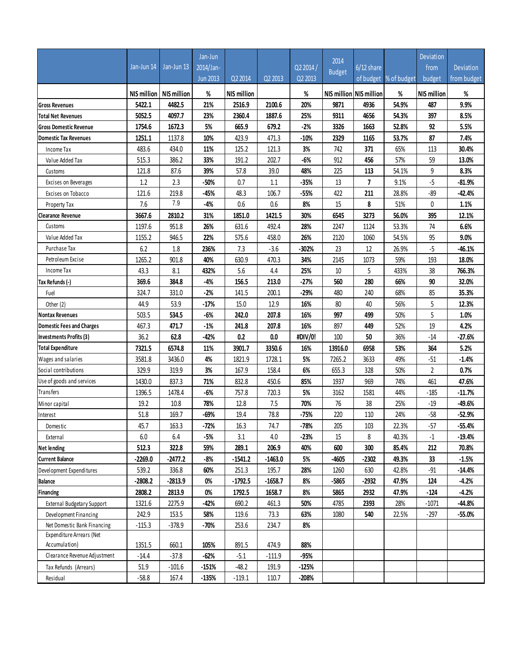|                                   |                    |                    | Jan-Jun         |                    |           |           |               |                          |                       | Deviation          |                  |
|-----------------------------------|--------------------|--------------------|-----------------|--------------------|-----------|-----------|---------------|--------------------------|-----------------------|--------------------|------------------|
|                                   | Jan-Jun 14         | Jan-Jun 13         | 2014/Jan-       |                    |           | Q2 2014 / | 2014          | $6/12$ share             |                       | from               | <b>Deviation</b> |
|                                   |                    |                    | <b>Jun 2013</b> | Q2 2014            | Q2 2013   | Q2 2013   | <b>Budget</b> |                          | of budget % of budget | budget             | from budget      |
|                                   | <b>NIS million</b> | <b>NIS million</b> | %               | <b>NIS million</b> |           | %         |               | NIS million NIS million  | %                     | <b>NIS million</b> | %                |
| <b>Gross Revenues</b>             | 5422.1             | 4482.5             | 21%             | 2516.9             | 2100.6    | 20%       | 9871          | 4936                     | 54.9%                 | 487                | 9.9%             |
| <b>Total Net Revenues</b>         | 5052.5             | 4097.7             | 23%             | 2360.4             | 1887.6    | 25%       | 9311          | 4656                     | 54.3%                 | 397                | 8.5%             |
| <b>Gross Domestic Revenue</b>     | 1754.6             | 1672.3             | 5%              | 665.9              | 679.2     | $-2%$     | 3326          | 1663                     | 52.8%                 | 92                 | 5.5%             |
| <b>Domestic Tax Revenues</b>      | 1251.1             | 1137.8             | 10%             | 423.9              | 471.3     | $-10%$    | 2329          | 1165                     | 53.7%                 | 87                 | 7.4%             |
| Income Tax                        | 483.6              | 434.0              | 11%             | 125.2              | 121.3     | 3%        | 742           | 371                      | 65%                   | 113                | 30.4%            |
| Value Added Tax                   | 515.3              | 386.2              | 33%             | 191.2              | 202.7     | $-6%$     | 912           | 456                      | 57%                   | 59                 | 13.0%            |
| Customs                           | 121.8              | 87.6               | 39%             | 57.8               | 39.0      | 48%       | 225           | 113                      | 54.1%                 | 9                  | 8.3%             |
| Excises on Beverages              | 1.2                | 2.3                | $-50%$          | 0.7                | 1.1       | $-35%$    | 13            | $\overline{\phantom{a}}$ | 9.1%                  | $-5$               | $-81.9%$         |
| Excises on Tobacco                | 121.6              | 219.8              | -45%            | 48.3               | 106.7     | -55%      | 422           | 211                      | 28.8%                 | $-89$              | $-42.4%$         |
| Property Tax                      | 7.6                | 7.9                | $-4%$           | $0.6\,$            | $0.6\,$   | 8%        | 15            | 8                        | 51%                   | 0                  | 1.1%             |
| <b>Clearance Revenue</b>          | 3667.6             | 2810.2             | 31%             | 1851.0             | 1421.5    | 30%       | 6545          | 3273                     | 56.0%                 | 395                | 12.1%            |
| Customs                           | 1197.6             | 951.8              | 26%             | 631.6              | 492.4     | 28%       | 2247          | 1124                     | 53.3%                 | 74                 | 6.6%             |
| Value Added Tax                   | 1155.2             | 946.5              | 22%             | 575.6              | 458.0     | 26%       | 2120          | 1060                     | 54.5%                 | 95                 | 9.0%             |
| Purchase Tax                      | 6.2                | 1.8                | 236%            | 7.3                | $-3.6$    | -302%     | 23            | 12                       | 26.9%                 | -5                 | -46.1%           |
| Petroleum Excise                  | 1265.2             | 901.8              | 40%             | 630.9              | 470.3     | 34%       | 2145          | 1073                     | 59%                   | 193                | 18.0%            |
| Income Tax                        | 43.3               | 8.1                | 432%            | 5.6                | $4.4\,$   | 25%       | 10            | 5                        | 433%                  | 38                 | 766.3%           |
| Tax Refunds (-)                   | 369.6              | 384.8              | $-4%$           | 156.5              | 213.0     | $-27%$    | 560           | 280                      | 66%                   | 90                 | 32.0%            |
| Fuel                              | 324.7              | 331.0              | $-2%$           | 141.5              | 200.1     | $-29%$    | 480           | 240                      | 68%                   | 85                 | 35.3%            |
| Other (2)                         | 44.9               | 53.9               | $-17%$          | 15.0               | 12.9      | 16%       | 80            | 40                       | 56%                   | 5                  | 12.3%            |
| <b>Nontax Revenues</b>            | 503.5              | 534.5              | $-6%$           | 242.0              | 207.8     | 16%       | 997           | 499                      | 50%                   | 5                  | 1.0%             |
| <b>Domestic Fees and Charges</b>  | 467.3              | 471.7              | $-1%$           | 241.8              | 207.8     | 16%       | 897           | 449                      | 52%                   | 19                 | 4.2%             |
| Investments Profits (3)           | 36.2               | 62.8               | $-42%$          | 0.2                | $0.0\,$   | #DIV/0!   | 100           | 50                       | 36%                   | $-14$              | -27.6%           |
| <b>Total Expenditure</b>          | 7321.5             | 6574.8             | 11%             | 3901.7             | 3350.6    | 16%       | 13916.0       | 6958                     | 53%                   | 364                | 5.2%             |
| Wages and salaries                | 3581.8             | 3436.0             | 4%              | 1821.9             | 1728.1    | 5%        | 7265.2        | 3633                     | 49%                   | $-51$              | $-1.4%$          |
| Social contributions              | 329.9              | 319.9              | 3%              | 167.9              | 158.4     | 6%        | 655.3         | 328                      | 50%                   | $\overline{2}$     | 0.7%             |
| Use of goods and services         | 1430.0             | 837.3              | 71%             | 832.8              | 450.6     | 85%       | 1937          | 969                      | 74%                   | 461                | 47.6%            |
| <b>Transfers</b>                  | 1396.5             | 1478.4             | $-6%$           | 757.8              | 720.3     | 5%        | 3162          | 1581                     | 44%                   | $-185$             | $-11.7%$         |
| Minor capital                     | 19.2               | 10.8               | 78%             | 12.8               | 7.5       | 70%       | 76            | 38                       | 25%                   | $-19$              | $-49.6%$         |
| Interest                          | 51.8               | 169.7              | -69%            | 19.4               | 78.8      | $-75%$    | 220           | 110                      | 24%                   | $-58$              | $-52.9%$         |
| Domestic                          | 45.7               | 163.3              | $-72%$          | 16.3               | 74.7      | $-78%$    | 205           | 103                      | 22.3%                 | $-57$              | $-55.4%$         |
| External                          | $6.0\,$            | $6.4\,$            | $-5%$           | 3.1                | $4.0\,$   | $-23%$    | 15            | 8                        | 40.3%                 | $-1$               | $-19.4%$         |
| <b>Net lending</b>                | 512.3              | 322.8              | 59%             | 289.1              | 206.9     | 40%       | 600           | 300                      | 85.4%                 | 212                | 70.8%            |
| <b>Current Balance</b>            | -2269.0            | $-2477.2$          | $-8%$           | $-1541.2$          | $-1463.0$ | 5%        | -4605         | $-2302$                  | 49.3%                 | 33                 | $-1.5%$          |
| Development Expenditures          | 539.2              | 336.8              | 60%             | 251.3              | 195.7     | 28%       | 1260          | 630                      | 42.8%                 | $-91$              | -14.4%           |
| Balance                           | -2808.2            | $-2813.9$          | 0%              | $-1792.5$          | $-1658.7$ | 8%        | $-5865$       | $-2932$                  | 47.9%                 | 124                | $-4.2%$          |
| Financing                         | 2808.2             | 2813.9             | $0\%$           | 1792.5             | 1658.7    | 8%        | 5865          | 2932                     | 47.9%                 | $-124$             | $-4.2%$          |
| <b>External Budgetary Support</b> | 1321.6             | 2275.9             | -42%            | 690.2              | 461.3     | 50%       | 4785          | 2393                     | 28%                   | $-1071$            | $-44.8%$         |
| Development Financing             | 242.9              | 153.5              | 58%             | 119.6              | 73.3      | 63%       | 1080          | 540                      | 22.5%                 | $-297$             | $-55.0%$         |
| Net Domestic Bank Financing       | $-115.3$           | $-378.9$           | $-70%$          | 253.6              | 234.7     | 8%        |               |                          |                       |                    |                  |
| Expenditure Arrears (Net          |                    |                    |                 |                    |           |           |               |                          |                       |                    |                  |
| Accumulation)                     | 1351.5             | 660.1              | 105%            | 891.5              | 474.9     | 88%       |               |                          |                       |                    |                  |
| Clearance Revenue Adjustment      | $-14.4$            | $-37.8$            | $-62%$          | $-5.1$             | $-111.9$  | -95%      |               |                          |                       |                    |                  |
| Tax Refunds (Arrears)             | 51.9               | $-101.6$           | -151%           | $-48.2$            | 191.9     | $-125%$   |               |                          |                       |                    |                  |
| Residual                          | $-58.8$            | 167.4              | $-135%$         | $-119.1$           | 110.7     | -208%     |               |                          |                       |                    |                  |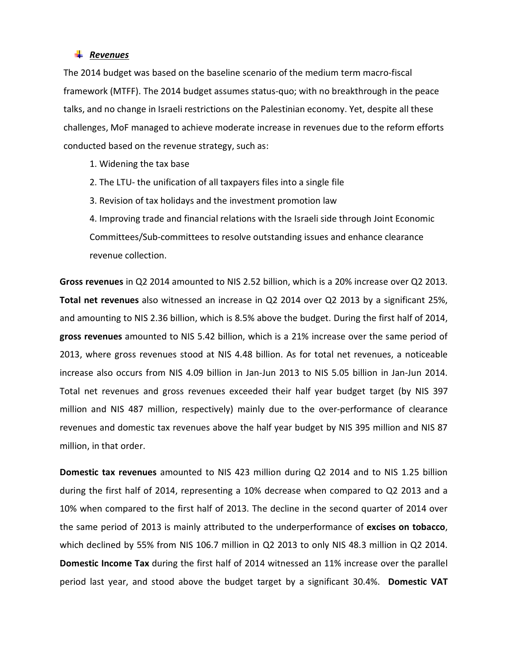#### *Revenues*

The 2014 budget was based on the baseline scenario of the medium term macro-fiscal framework (MTFF). The 2014 budget assumes status-quo; with no breakthrough in the peace talks, and no change in Israeli restrictions on the Palestinian economy. Yet, despite all these challenges, MoF managed to achieve moderate increase in revenues due to the reform efforts conducted based on the revenue strategy, such as:

- 1. Widening the tax base
- 2. The LTU- the unification of all taxpayers files into a single file
- 3. Revision of tax holidays and the investment promotion law

4. Improving trade and financial relations with the Israeli side through Joint Economic Committees/Sub-committees to resolve outstanding issues and enhance clearance revenue collection.

**Gross revenues** in Q2 2014 amounted to NIS 2.52 billion, which is a 20% increase over Q2 2013. **Total net revenues** also witnessed an increase in Q2 2014 over Q2 2013 by a significant 25%, and amounting to NIS 2.36 billion, which is 8.5% above the budget. During the first half of 2014, **gross revenues** amounted to NIS 5.42 billion, which is a 21% increase over the same period of 2013, where gross revenues stood at NIS 4.48 billion. As for total net revenues, a noticeable increase also occurs from NIS 4.09 billion in Jan-Jun 2013 to NIS 5.05 billion in Jan-Jun 2014. Total net revenues and gross revenues exceeded their half year budget target (by NIS 397 million and NIS 487 million, respectively) mainly due to the over-performance of clearance revenues and domestic tax revenues above the half year budget by NIS 395 million and NIS 87 million, in that order.

**Domestic tax revenues** amounted to NIS 423 million during Q2 2014 and to NIS 1.25 billion during the first half of 2014, representing a 10% decrease when compared to Q2 2013 and a 10% when compared to the first half of 2013. The decline in the second quarter of 2014 over the same period of 2013 is mainly attributed to the underperformance of **excises on tobacco**, which declined by 55% from NIS 106.7 million in Q2 2013 to only NIS 48.3 million in Q2 2014. **Domestic Income Tax** during the first half of 2014 witnessed an 11% increase over the parallel period last year, and stood above the budget target by a significant 30.4%. **Domestic VAT**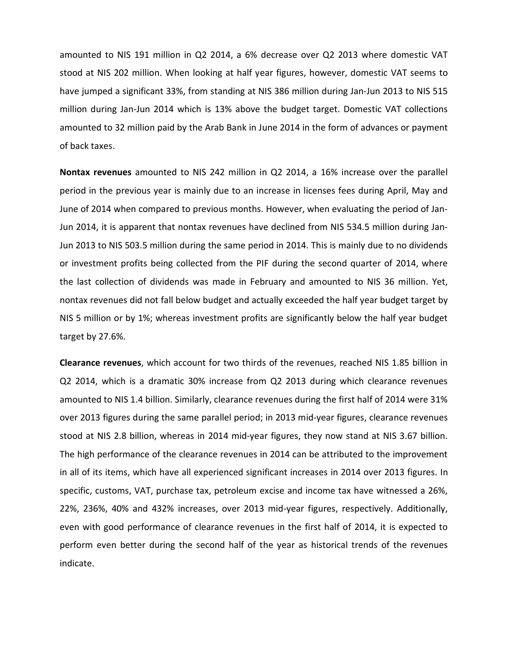amounted to NIS 191 million in Q2 2014, a 6% decrease over Q2 2013 where domestic VAT stood at NIS 202 million. When looking at half year figures, however, domestic VAT seems to have jumped a significant 33%, from standing at NIS 386 million during Jan-Jun 2013 to NIS 515 million during Jan-Jun 2014 which is 13% above the budget target. Domestic VAT collections amounted to 32 million paid by the Arab Bank in June 2014 in the form of advances or payment of back taxes.

**Nontax revenues** amounted to NIS 242 million in Q2 2014, a 16% increase over the parallel period in the previous year is mainly due to an increase in licenses fees during April, May and June of 2014 when compared to previous months. However, when evaluating the period of Jan-Jun 2014, it is apparent that nontax revenues have declined from NIS 534.5 million during Jan-Jun 2013 to NIS 503.5 million during the same period in 2014. This is mainly due to no dividends or investment profits being collected from the PIF during the second quarter of 2014, where the last collection of dividends was made in February and amounted to NIS 36 million. Yet, nontax revenues did not fall below budget and actually exceeded the half year budget target by NIS 5 million or by 1%; whereas investment profits are significantly below the half year budget target by 27.6%.

**Clearance revenues**, which account for two thirds of the revenues, reached NIS 1.85 billion in Q2 2014, which is a dramatic 30% increase from Q2 2013 during which clearance revenues amounted to NIS 1.4 billion. Similarly, clearance revenues during the first half of 2014 were 31% over 2013 figures during the same parallel period; in 2013 mid-year figures, clearance revenues stood at NIS 2.8 billion, whereas in 2014 mid-year figures, they now stand at NIS 3.67 billion. The high performance of the clearance revenues in 2014 can be attributed to the improvement in all of its items, which have all experienced significant increases in 2014 over 2013 figures. In specific, customs, VAT, purchase tax, petroleum excise and income tax have witnessed a 26%, 22%, 236%, 40% and 432% increases, over 2013 mid-year figures, respectively. Additionally, even with good performance of clearance revenues in the first half of 2014, it is expected to perform even better during the second half of the year as historical trends of the revenues indicate.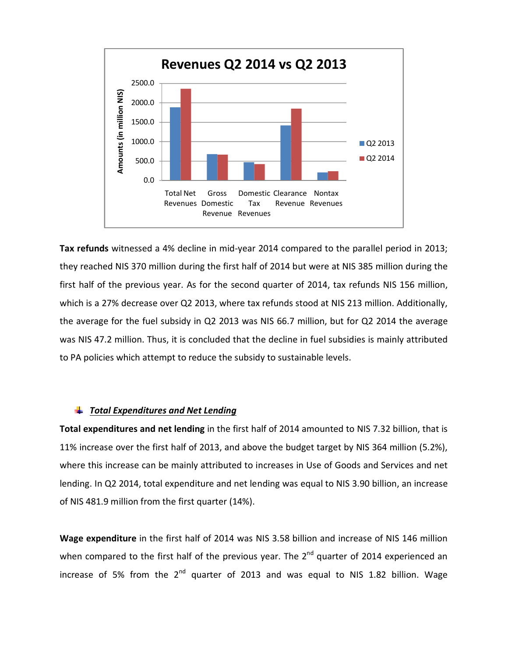

**Tax refunds** witnessed a 4% decline in mid-year 2014 compared to the parallel period in 2013; they reached NIS 370 million during the first half of 2014 but were at NIS 385 million during the first half of the previous year. As for the second quarter of 2014, tax refunds NIS 156 million, which is a 27% decrease over Q2 2013, where tax refunds stood at NIS 213 million. Additionally, the average for the fuel subsidy in Q2 2013 was NIS 66.7 million, but for Q2 2014 the average was NIS 47.2 million. Thus, it is concluded that the decline in fuel subsidies is mainly attributed to PA policies which attempt to reduce the subsidy to sustainable levels.

#### *Total Expenditures and Net Lending*

**Total expenditures and net lending** in the first half of 2014 amounted to NIS 7.32 billion, that is 11% increase over the first half of 2013, and above the budget target by NIS 364 million (5.2%), where this increase can be mainly attributed to increases in Use of Goods and Services and net lending. In Q2 2014, total expenditure and net lending was equal to NIS 3.90 billion, an increase of NIS 481.9 million from the first quarter (14%).

**Wage expenditure** in the first half of 2014 was NIS 3.58 billion and increase of NIS 146 million when compared to the first half of the previous year. The  $2^{nd}$  quarter of 2014 experienced an increase of 5% from the  $2^{nd}$  quarter of 2013 and was equal to NIS 1.82 billion. Wage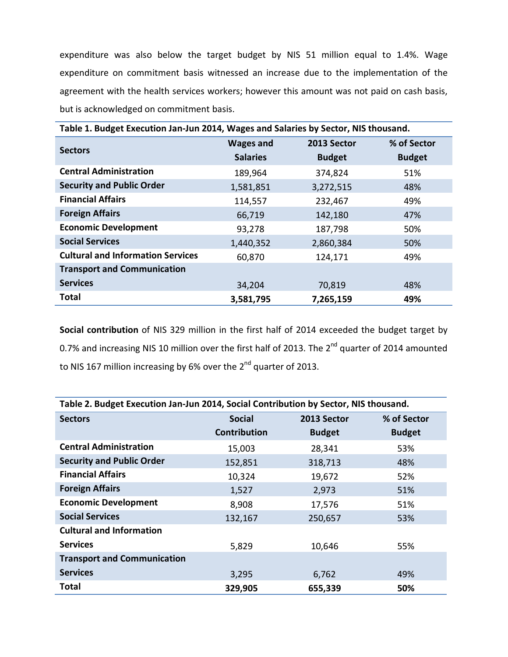expenditure was also below the target budget by NIS 51 million equal to 1.4%. Wage expenditure on commitment basis witnessed an increase due to the implementation of the agreement with the health services workers; however this amount was not paid on cash basis, but is acknowledged on commitment basis.

| Table 1. Budget Execution Jan-Jun 2014, Wages and Salaries by Sector, NIS thousand. |                  |               |               |  |  |
|-------------------------------------------------------------------------------------|------------------|---------------|---------------|--|--|
| <b>Sectors</b>                                                                      | <b>Wages and</b> | 2013 Sector   | % of Sector   |  |  |
|                                                                                     | <b>Salaries</b>  | <b>Budget</b> | <b>Budget</b> |  |  |
| <b>Central Administration</b>                                                       | 189,964          | 374,824       | 51%           |  |  |
| <b>Security and Public Order</b>                                                    | 1,581,851        | 3,272,515     | 48%           |  |  |
| <b>Financial Affairs</b>                                                            | 114,557          | 232,467       | 49%           |  |  |
| <b>Foreign Affairs</b>                                                              | 66,719           | 142,180       | 47%           |  |  |
| <b>Economic Development</b>                                                         | 93,278           | 187,798       | 50%           |  |  |
| <b>Social Services</b>                                                              | 1,440,352        | 2,860,384     | 50%           |  |  |
| <b>Cultural and Information Services</b>                                            | 60,870           | 124,171       | 49%           |  |  |
| <b>Transport and Communication</b>                                                  |                  |               |               |  |  |
| <b>Services</b>                                                                     | 34,204           | 70,819        | 48%           |  |  |
| Total                                                                               | 3,581,795        | 7,265,159     | 49%           |  |  |

**Social contribution** of NIS 329 million in the first half of 2014 exceeded the budget target by 0.7% and increasing NIS 10 million over the first half of 2013. The 2<sup>nd</sup> quarter of 2014 amounted to NIS 167 million increasing by 6% over the 2<sup>nd</sup> quarter of 2013.

| Table 2. Budget Execution Jan-Jun 2014, Social Contribution by Sector, NIS thousand. |                     |               |               |  |  |
|--------------------------------------------------------------------------------------|---------------------|---------------|---------------|--|--|
| <b>Sectors</b>                                                                       | <b>Social</b>       | 2013 Sector   | % of Sector   |  |  |
|                                                                                      | <b>Contribution</b> | <b>Budget</b> | <b>Budget</b> |  |  |
| <b>Central Administration</b>                                                        | 15,003              | 28,341        | 53%           |  |  |
| <b>Security and Public Order</b>                                                     | 152,851             | 318,713       | 48%           |  |  |
| <b>Financial Affairs</b>                                                             | 10,324              | 19,672        | 52%           |  |  |
| <b>Foreign Affairs</b>                                                               | 1,527               | 2,973         | 51%           |  |  |
| <b>Economic Development</b>                                                          | 8,908               | 17,576        | 51%           |  |  |
| <b>Social Services</b>                                                               | 132,167             | 250,657       | 53%           |  |  |
| <b>Cultural and Information</b>                                                      |                     |               |               |  |  |
| <b>Services</b>                                                                      | 5,829               | 10,646        | 55%           |  |  |
| <b>Transport and Communication</b>                                                   |                     |               |               |  |  |
| <b>Services</b>                                                                      | 3,295               | 6,762         | 49%           |  |  |
| Total                                                                                | 329,905             | 655,339       | 50%           |  |  |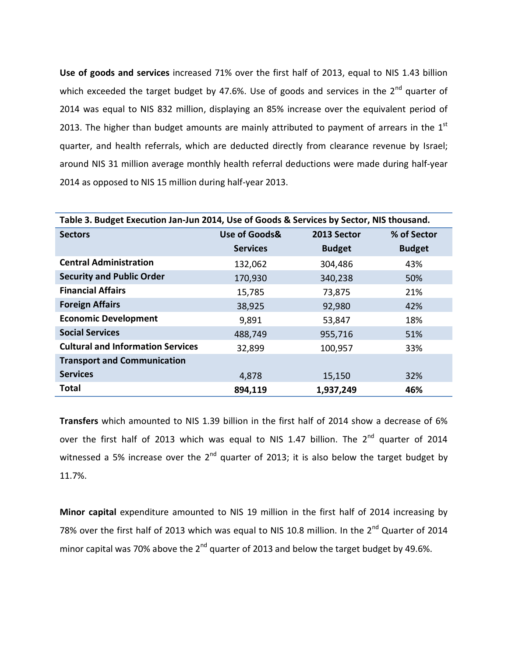**Use of goods and services** increased 71% over the first half of 2013, equal to NIS 1.43 billion which exceeded the target budget by 47.6%. Use of goods and services in the  $2^{nd}$  quarter of 2014 was equal to NIS 832 million, displaying an 85% increase over the equivalent period of 2013. The higher than budget amounts are mainly attributed to payment of arrears in the  $1<sup>st</sup>$ quarter, and health referrals, which are deducted directly from clearance revenue by Israel; around NIS 31 million average monthly health referral deductions were made during half-year 2014 as opposed to NIS 15 million during half-year 2013.

| Table 3. Budget Execution Jan-Jun 2014, Use of Goods & Services by Sector, NIS thousand. |                 |               |               |  |  |
|------------------------------------------------------------------------------------------|-----------------|---------------|---------------|--|--|
| <b>Sectors</b>                                                                           | Use of Goods&   | 2013 Sector   | % of Sector   |  |  |
|                                                                                          | <b>Services</b> | <b>Budget</b> | <b>Budget</b> |  |  |
| <b>Central Administration</b>                                                            | 132,062         | 304,486       | 43%           |  |  |
| <b>Security and Public Order</b>                                                         | 170,930         | 340,238       | 50%           |  |  |
| <b>Financial Affairs</b>                                                                 | 15,785          | 73,875        | 21%           |  |  |
| <b>Foreign Affairs</b>                                                                   | 38,925          | 92,980        | 42%           |  |  |
| <b>Economic Development</b>                                                              | 9,891           | 53,847        | 18%           |  |  |
| <b>Social Services</b>                                                                   | 488,749         | 955,716       | 51%           |  |  |
| <b>Cultural and Information Services</b>                                                 | 32,899          | 100,957       | 33%           |  |  |
| <b>Transport and Communication</b>                                                       |                 |               |               |  |  |
| <b>Services</b>                                                                          | 4,878           | 15,150        | 32%           |  |  |
| <b>Total</b>                                                                             | 894,119         | 1,937,249     | 46%           |  |  |

**Transfers** which amounted to NIS 1.39 billion in the first half of 2014 show a decrease of 6% over the first half of 2013 which was equal to NIS 1.47 billion. The 2<sup>nd</sup> quarter of 2014 witnessed a 5% increase over the  $2^{nd}$  quarter of 2013; it is also below the target budget by 11.7%.

**Minor capital** expenditure amounted to NIS 19 million in the first half of 2014 increasing by 78% over the first half of 2013 which was equal to NIS 10.8 million. In the 2<sup>nd</sup> Quarter of 2014 minor capital was 70% above the  $2^{nd}$  quarter of 2013 and below the target budget by 49.6%.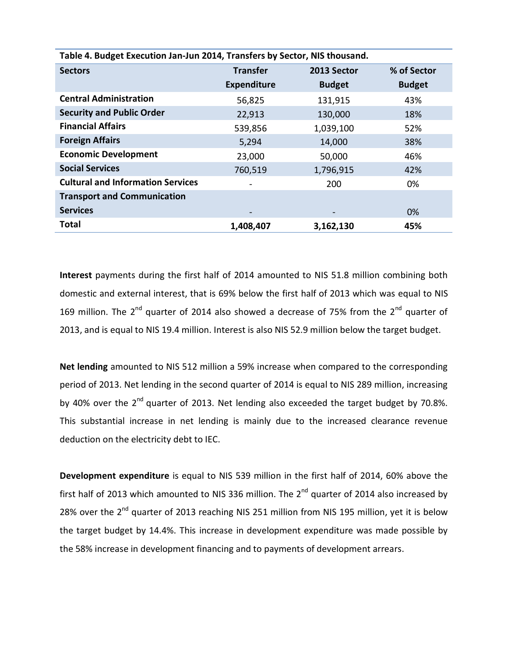| Table 4. Budget Execution Jan-Jun 2014, Transfers by Sector, NIS thousand. |                    |               |               |  |  |
|----------------------------------------------------------------------------|--------------------|---------------|---------------|--|--|
| <b>Sectors</b>                                                             | <b>Transfer</b>    | 2013 Sector   | % of Sector   |  |  |
|                                                                            | <b>Expenditure</b> | <b>Budget</b> | <b>Budget</b> |  |  |
| <b>Central Administration</b>                                              | 56,825             | 131,915       | 43%           |  |  |
| <b>Security and Public Order</b>                                           | 22,913             | 130,000       | 18%           |  |  |
| <b>Financial Affairs</b>                                                   | 539,856            | 1,039,100     | 52%           |  |  |
| <b>Foreign Affairs</b>                                                     | 5,294              | 14,000        | 38%           |  |  |
| <b>Economic Development</b>                                                | 23,000             | 50,000        | 46%           |  |  |
| <b>Social Services</b>                                                     | 760,519            | 1,796,915     | 42%           |  |  |
| <b>Cultural and Information Services</b>                                   |                    | 200           | 0%            |  |  |
| <b>Transport and Communication</b>                                         |                    |               |               |  |  |
| <b>Services</b>                                                            |                    |               | $0\%$         |  |  |
| <b>Total</b>                                                               | 1,408,407          | 3,162,130     | 45%           |  |  |

**Interest** payments during the first half of 2014 amounted to NIS 51.8 million combining both domestic and external interest, that is 69% below the first half of 2013 which was equal to NIS 169 million. The  $2^{nd}$  quarter of 2014 also showed a decrease of 75% from the  $2^{nd}$  quarter of 2013, and is equal to NIS 19.4 million. Interest is also NIS 52.9 million below the target budget.

**Net lending** amounted to NIS 512 million a 59% increase when compared to the corresponding period of 2013. Net lending in the second quarter of 2014 is equal to NIS 289 million, increasing by 40% over the 2<sup>nd</sup> quarter of 2013. Net lending also exceeded the target budget by 70.8%. This substantial increase in net lending is mainly due to the increased clearance revenue deduction on the electricity debt to IEC.

**Development expenditure** is equal to NIS 539 million in the first half of 2014, 60% above the first half of 2013 which amounted to NIS 336 million. The  $2^{nd}$  quarter of 2014 also increased by 28% over the 2<sup>nd</sup> quarter of 2013 reaching NIS 251 million from NIS 195 million, yet it is below the target budget by 14.4%. This increase in development expenditure was made possible by the 58% increase in development financing and to payments of development arrears.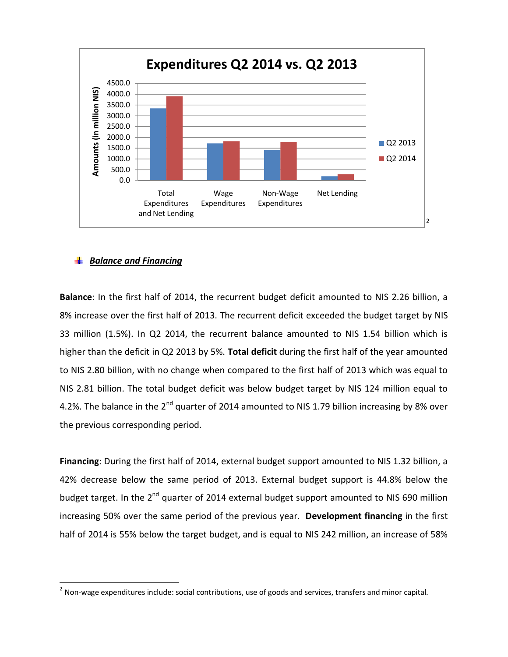

### *Balance and Financing*

**Balance**: In the first half of 2014, the recurrent budget deficit amounted to NIS 2.26 billion, a 8% increase over the first half of 2013. The recurrent deficit exceeded the budget target by NIS 33 million (1.5%). In Q2 2014, the recurrent balance amounted to NIS 1.54 billion which is higher than the deficit in Q2 2013 by 5%. **Total deficit** during the first half of the year amounted to NIS 2.80 billion, with no change when compared to the first half of 2013 which was equal to NIS 2.81 billion. The total budget deficit was below budget target by NIS 124 million equal to 4.2%. The balance in the 2<sup>nd</sup> quarter of 2014 amounted to NIS 1.79 billion increasing by 8% over the previous corresponding period.

**Financing**: During the first half of 2014, external budget support amounted to NIS 1.32 billion, a 42% decrease below the same period of 2013. External budget support is 44.8% below the budget target. In the 2<sup>nd</sup> quarter of 2014 external budget support amounted to NIS 690 million increasing 50% over the same period of the previous year. **Development financing** in the first half of 2014 is 55% below the target budget, and is equal to NIS 242 million, an increase of 58%

 $2$  Non-wage expenditures include: social contributions, use of goods and services, transfers and minor capital.